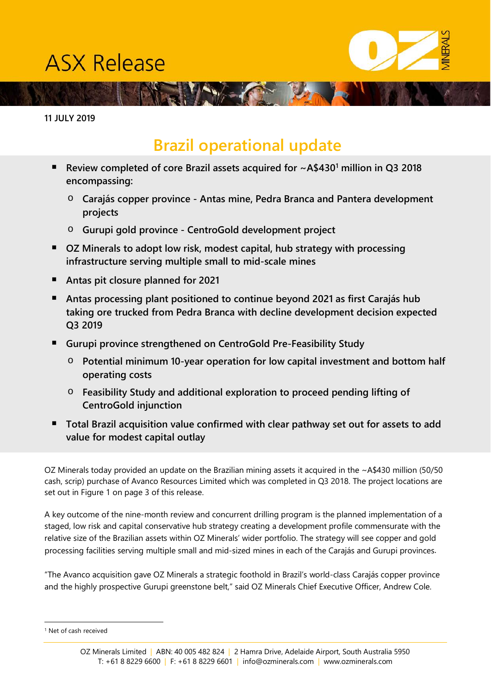# **ASX Release**



**11 JULY 2019**

# **Brazil operational update**

 **Review completed of core Brazil assets acquired for ~A\$430[1](#page-0-0) million in Q3 2018 encompassing:**

**AND THE COMPLETE** 

- o **Carajás copper province - Antas mine, Pedra Branca and Pantera development projects**
- o **Gurupi gold province - CentroGold development project**
- **OZ Minerals to adopt low risk, modest capital, hub strategy with processing infrastructure serving multiple small to mid-scale mines**
- **Antas pit closure planned for 2021**
- **Antas processing plant positioned to continue beyond 2021 as first Carajás hub taking ore trucked from Pedra Branca with decline development decision expected Q3 2019**
- **Gurupi province strengthened on CentroGold Pre-Feasibility Study**
	- o **Potential minimum 10-year operation for low capital investment and bottom half operating costs**
	- o **Feasibility Study and additional exploration to proceed pending lifting of CentroGold injunction**
- **Total Brazil acquisition value confirmed with clear pathway set out for assets to add value for modest capital outlay**

OZ Minerals today provided an update on the Brazilian mining assets it acquired in the ~A\$430 million (50/50 cash, scrip) purchase of Avanco Resources Limited which was completed in Q3 2018. The project locations are set out in Figure 1 on page 3 of this release.

A key outcome of the nine-month review and concurrent drilling program is the planned implementation of a staged, low risk and capital conservative hub strategy creating a development profile commensurate with the relative size of the Brazilian assets within OZ Minerals' wider portfolio. The strategy will see copper and gold processing facilities serving multiple small and mid-sized mines in each of the Carajás and Gurupi provinces.

"The Avanco acquisition gave OZ Minerals a strategic foothold in Brazil's world-class Carajás copper province and the highly prospective Gurupi greenstone belt," said OZ Minerals Chief Executive Officer, Andrew Cole.

<span id="page-0-0"></span> <sup>1</sup> Net of cash received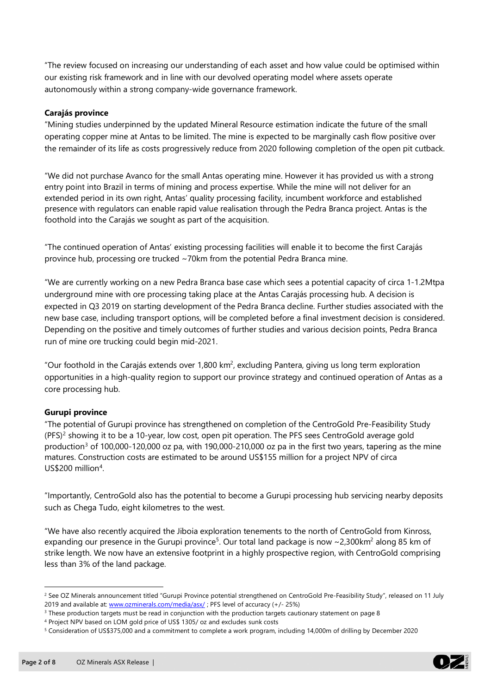"The review focused on increasing our understanding of each asset and how value could be optimised within our existing risk framework and in line with our devolved operating model where assets operate autonomously within a strong company-wide governance framework.

#### **Carajás province**

"Mining studies underpinned by the updated Mineral Resource estimation indicate the future of the small operating copper mine at Antas to be limited. The mine is expected to be marginally cash flow positive over the remainder of its life as costs progressively reduce from 2020 following completion of the open pit cutback.

"We did not purchase Avanco for the small Antas operating mine. However it has provided us with a strong entry point into Brazil in terms of mining and process expertise. While the mine will not deliver for an extended period in its own right, Antas' quality processing facility, incumbent workforce and established presence with regulators can enable rapid value realisation through the Pedra Branca project. Antas is the foothold into the Carajás we sought as part of the acquisition.

"The continued operation of Antas' existing processing facilities will enable it to become the first Carajás province hub, processing ore trucked ~70km from the potential Pedra Branca mine.

"We are currently working on a new Pedra Branca base case which sees a potential capacity of circa 1-1.2Mtpa underground mine with ore processing taking place at the Antas Carajás processing hub. A decision is expected in Q3 2019 on starting development of the Pedra Branca decline. Further studies associated with the new base case, including transport options, will be completed before a final investment decision is considered. Depending on the positive and timely outcomes of further studies and various decision points, Pedra Branca run of mine ore trucking could begin mid-2021.

"Our foothold in the Carajás extends over 1,800 km<sup>2</sup>, excluding Pantera, giving us long term exploration opportunities in a high-quality region to support our province strategy and continued operation of Antas as a core processing hub.

### **Gurupi province**

"The potential of Gurupi province has strengthened on completion of the CentroGold Pre-Feasibility Study (PFS) [2](#page-1-0) showing it to be a 10-year, low cost, open pit operation. The PFS sees CentroGold average gold production<sup>[3](#page-1-1)</sup> of 100,000-120,000 oz pa, with 190,000-210,000 oz pa in the first two years, tapering as the mine matures. Construction costs are estimated to be around US\$155 million for a project NPV of circa US\$200 million<sup>[4](#page-1-2)</sup>.

"Importantly, CentroGold also has the potential to become a Gurupi processing hub servicing nearby deposits such as Chega Tudo, eight kilometres to the west.

"We have also recently acquired the Jiboia exploration tenements to the north of CentroGold from Kinross, expanding our presence in the Gurupi province $^5$  $^5$ . Our total land package is now ~2,300km $^2$  along 85 km of strike length. We now have an extensive footprint in a highly prospective region, with CentroGold comprising less than 3% of the land package.



<span id="page-1-0"></span><sup>&</sup>lt;sup>2</sup> See OZ Minerals announcement titled "Gurupi Province potential strengthened on CentroGold Pre-Feasibility Study", released on 11 July 2019 and available at[: www.ozminerals.com/media/asx/](http://www.ozminerals.com/media/asx/); PFS level of accuracy (+/- 25%)

<span id="page-1-1"></span><sup>&</sup>lt;sup>3</sup> These production targets must be read in conjunction with the production targets cautionary statement on page 8

<span id="page-1-2"></span><sup>4</sup> Project NPV based on LOM gold price of US\$ 1305/ oz and excludes sunk costs

<span id="page-1-3"></span><sup>5</sup> Consideration of US\$375,000 and a commitment to complete a work program, including 14,000m of drilling by December 2020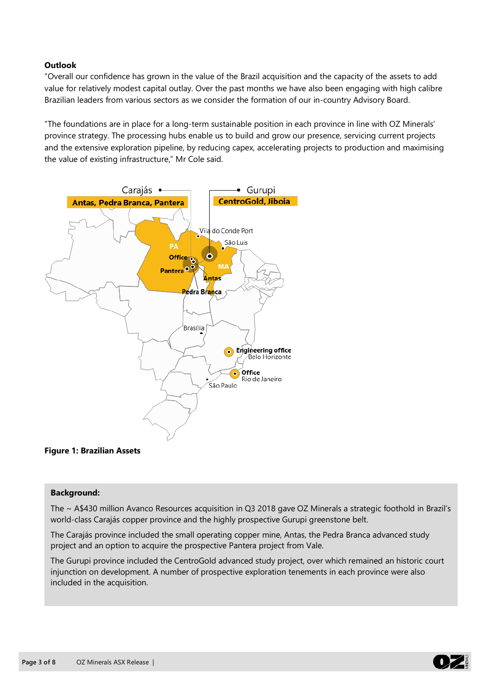#### **Outlook**

"Overall our confidence has grown in the value of the Brazil acquisition and the capacity of the assets to add value for relatively modest capital outlay. Over the past months we have also been engaging with high calibre Brazilian leaders from various sectors as we consider the formation of our in-country Advisory Board.

"The foundations are in place for a long-term sustainable position in each province in line with OZ Minerals' province strategy. The processing hubs enable us to build and grow our presence, servicing current projects and the extensive exploration pipeline, by reducing capex, accelerating projects to production and maximising the value of existing infrastructure," Mr Cole said.



#### **Figure 1: Brazilian Assets**

#### **Background:**

The ~ A\$430 million Avanco Resources acquisition in Q3 2018 gave OZ Minerals a strategic foothold in Brazil's world-class Carajás copper province and the highly prospective Gurupi greenstone belt.

The Carajás province included the small operating copper mine, Antas, the Pedra Branca advanced study project and an option to acquire the prospective Pantera project from Vale.

The Gurupi province included the CentroGold advanced study project, over which remained an historic court injunction on development. A number of prospective exploration tenements in each province were also included in the acquisition.

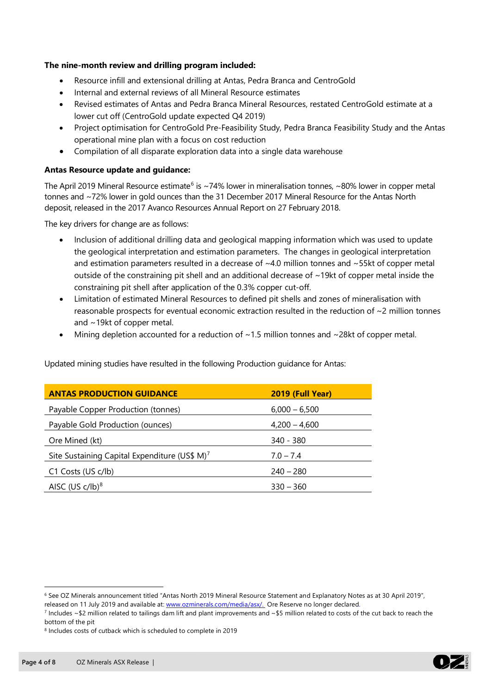#### **The nine-month review and drilling program included:**

- Resource infill and extensional drilling at Antas, Pedra Branca and CentroGold
- Internal and external reviews of all Mineral Resource estimates
- Revised estimates of Antas and Pedra Branca Mineral Resources, restated CentroGold estimate at a lower cut off (CentroGold update expected Q4 2019)
- Project optimisation for CentroGold Pre-Feasibility Study, Pedra Branca Feasibility Study and the Antas operational mine plan with a focus on cost reduction
- Compilation of all disparate exploration data into a single data warehouse

#### **Antas Resource update and guidance:**

The April 2019 Mineral Resource estimate<sup>[6](#page-3-0)</sup> is ~74% lower in mineralisation tonnes, ~80% lower in copper metal tonnes and ~72% lower in gold ounces than the 31 December 2017 Mineral Resource for the Antas North deposit, released in the 2017 Avanco Resources Annual Report on 27 February 2018.

The key drivers for change are as follows:

- Inclusion of additional drilling data and geological mapping information which was used to update the geological interpretation and estimation parameters. The changes in geological interpretation and estimation parameters resulted in a decrease of  $\sim$ 4.0 million tonnes and  $\sim$ 55kt of copper metal outside of the constraining pit shell and an additional decrease of ~19kt of copper metal inside the constraining pit shell after application of the 0.3% copper cut-off.
- Limitation of estimated Mineral Resources to defined pit shells and zones of mineralisation with reasonable prospects for eventual economic extraction resulted in the reduction of ~2 million tonnes and ~19kt of copper metal.
- Mining depletion accounted for a reduction of  $~1.5$  million tonnes and  $~28$ kt of copper metal.

| <b>ANTAS PRODUCTION GUIDANCE</b>                          | 2019 (Full Year) |
|-----------------------------------------------------------|------------------|
| Payable Copper Production (tonnes)                        | $6,000 - 6,500$  |
| Payable Gold Production (ounces)                          | $4,200 - 4,600$  |
| Ore Mined (kt)                                            | 340 - 380        |
| Site Sustaining Capital Expenditure (US\$ M) <sup>7</sup> | $7.0 - 7.4$      |
| C1 Costs (US c/lb)                                        | $240 - 280$      |
| AISC (US $c/lb$ ) <sup>8</sup>                            | $330 - 360$      |

Updated mining studies have resulted in the following Production guidance for Antas:



<span id="page-3-0"></span> <sup>6</sup> See OZ Minerals announcement titled "Antas North 2019 Mineral Resource Statement and Explanatory Notes as at 30 April 2019", released on 11 July 2019 and available at: [www.ozminerals.com/media/asx/.](http://www.ozminerals.com/media/asx/) Ore Reserve no longer declared.

<span id="page-3-1"></span> $\frac{7}{1}$  Includes ~\$2 million related to tailings dam lift and plant improvements and ~\$5 million related to costs of the cut back to reach the bottom of the pit

<span id="page-3-2"></span><sup>8</sup> Includes costs of cutback which is scheduled to complete in 2019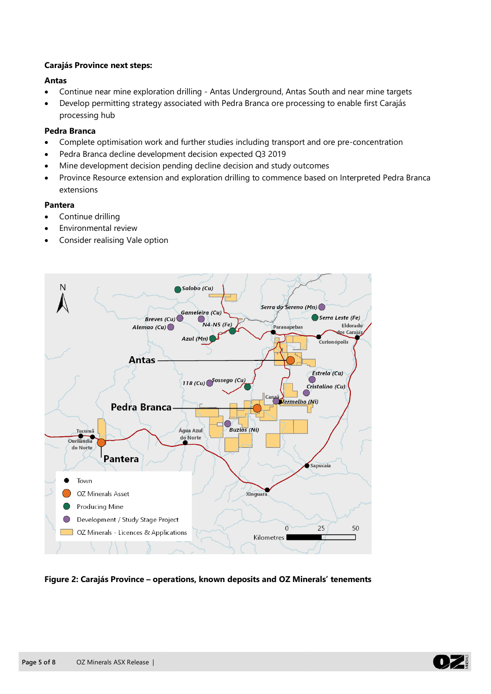#### **Carajás Province next steps:**

#### **Antas**

- Continue near mine exploration drilling Antas Underground, Antas South and near mine targets
- Develop permitting strategy associated with Pedra Branca ore processing to enable first Carajás processing hub

#### **Pedra Branca**

- Complete optimisation work and further studies including transport and ore pre-concentration
- Pedra Branca decline development decision expected Q3 2019
- Mine development decision pending decline decision and study outcomes
- Province Resource extension and exploration drilling to commence based on Interpreted Pedra Branca extensions

#### **Pantera**

- Continue drilling
- Environmental review
- Consider realising Vale option



**Figure 2: Carajás Province – operations, known deposits and OZ Minerals' tenements**

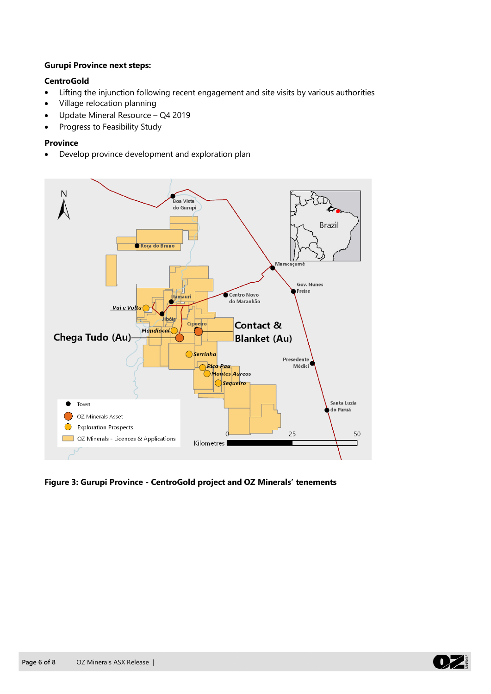#### **Gurupi Province next steps:**

#### **CentroGold**

- Lifting the injunction following recent engagement and site visits by various authorities
- Village relocation planning
- Update Mineral Resource Q4 2019
- Progress to Feasibility Study

#### **Province**

• Develop province development and exploration plan



**Figure 3: Gurupi Province - CentroGold project and OZ Minerals' tenements** 

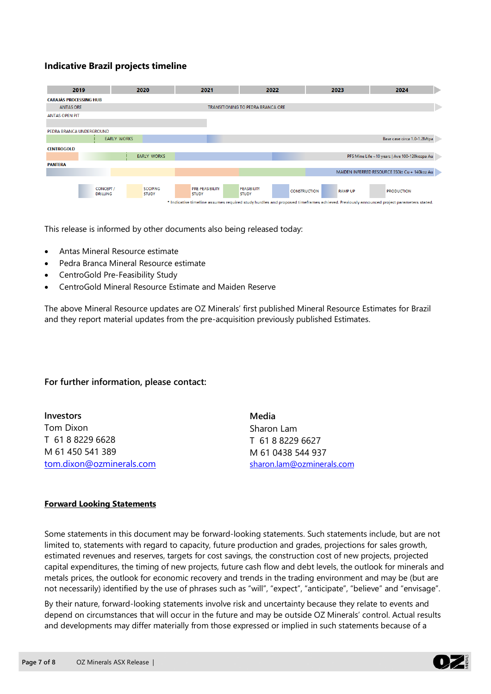## **Indicative Brazil projects timeline**

| 2019                                                                                                                                   |                              | 2020                           | 2021                            | 2022                               | 2023                                  | 2024                                          |
|----------------------------------------------------------------------------------------------------------------------------------------|------------------------------|--------------------------------|---------------------------------|------------------------------------|---------------------------------------|-----------------------------------------------|
| <b>CARAJÁS PROCESSING HUB</b>                                                                                                          |                              |                                |                                 |                                    |                                       |                                               |
| <b>ANTAS ORE</b>                                                                                                                       |                              |                                |                                 | TRANSITIONING TO PEDRA BRANCA ORE  |                                       |                                               |
| <b>ANTAS OPEN PIT</b>                                                                                                                  |                              |                                |                                 |                                    |                                       |                                               |
|                                                                                                                                        |                              |                                |                                 |                                    |                                       |                                               |
| PEDRA BRANCA UNDERGROUND                                                                                                               |                              |                                |                                 |                                    |                                       |                                               |
|                                                                                                                                        | <b>EARLY WORKS</b>           |                                |                                 |                                    |                                       | Base case circa 1.0-1.2Mtpa                   |
| <b>CENTROGOLD</b>                                                                                                                      |                              |                                |                                 |                                    |                                       |                                               |
|                                                                                                                                        |                              | <b>EARLY WORKS</b>             |                                 |                                    |                                       | PFS Mine Life ~10 years   Ave 100-120kozpa Au |
| <b>PANTERA</b>                                                                                                                         |                              |                                |                                 |                                    |                                       |                                               |
|                                                                                                                                        |                              |                                |                                 |                                    |                                       | MAIDEN INFERRED RESOURCE 350kt Cu + 140koz Au |
|                                                                                                                                        |                              |                                |                                 |                                    |                                       |                                               |
|                                                                                                                                        | CONCEPT /<br><b>DRILLING</b> | <b>SCOPING</b><br><b>STUDY</b> | PRE-FEASIBILITY<br><b>STUDY</b> | <b>FEASIBILITY</b><br><b>STUDY</b> | <b>CONSTRUCTION</b><br><b>RAMP UP</b> | <b>PRODUCTION</b>                             |
| * Indicative timeline assumes required study hurdles and proposed timeframes achieved. Previously announced project parameters stated. |                              |                                |                                 |                                    |                                       |                                               |

This release is informed by other documents also being released today:

- Antas Mineral Resource estimate
- Pedra Branca Mineral Resource estimate
- CentroGold Pre-Feasibility Study
- CentroGold Mineral Resource Estimate and Maiden Reserve

The above Mineral Resource updates are OZ Minerals' first published Mineral Resource Estimates for Brazil and they report material updates from the pre-acquisition previously published Estimates.

#### **For further information, please contact:**

| <b>Investors</b>         | Media                     |
|--------------------------|---------------------------|
| Tom Dixon                | Sharon Lam                |
| T 61 8 8229 6628         | T 61882296627             |
| M 61 450 541 389         | M 61 0438 544 937         |
| tom.dixon@ozminerals.com | sharon.lam@ozminerals.com |

#### **Forward Looking Statements**

Some statements in this document may be forward-looking statements. Such statements include, but are not limited to, statements with regard to capacity, future production and grades, projections for sales growth, estimated revenues and reserves, targets for cost savings, the construction cost of new projects, projected capital expenditures, the timing of new projects, future cash flow and debt levels, the outlook for minerals and metals prices, the outlook for economic recovery and trends in the trading environment and may be (but are not necessarily) identified by the use of phrases such as "will", "expect", "anticipate", "believe" and "envisage".

By their nature, forward-looking statements involve risk and uncertainty because they relate to events and depend on circumstances that will occur in the future and may be outside OZ Minerals' control. Actual results and developments may differ materially from those expressed or implied in such statements because of a